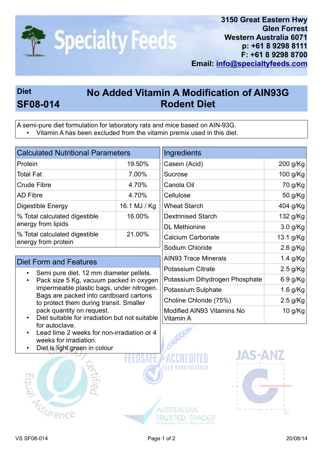

## Diet No Added Vitamin A Modification of AIN93G SF08-014 Rodent Diet

A semi-pure diet formulation for laboratory rats and mice based on AIN-93G.

• Vitamin A has been excluded from the vitamin premix used in this diet.

| <b>Calculated Nutritional Parameters</b>                                                                                                                                                                                                                                                                              |              | Ingredients                             |            |
|-----------------------------------------------------------------------------------------------------------------------------------------------------------------------------------------------------------------------------------------------------------------------------------------------------------------------|--------------|-----------------------------------------|------------|
| Protein                                                                                                                                                                                                                                                                                                               | 19.50%       | Casein (Acid)                           | 200 g/Kg   |
| Total Fat                                                                                                                                                                                                                                                                                                             | 7.00%        | Sucrose                                 | 100 g/Kg   |
| <b>Crude Fibre</b>                                                                                                                                                                                                                                                                                                    | 4.70%        | Canola Oil                              | 70 g/Kg    |
| AD Fibre                                                                                                                                                                                                                                                                                                              | 4.70%        | Cellulose                               | 50 g/Kg    |
| Digestible Energy                                                                                                                                                                                                                                                                                                     | 16.1 MJ / Kg | <b>Wheat Starch</b>                     | 404 g/Kg   |
| % Total calculated digestible<br>energy from lipids                                                                                                                                                                                                                                                                   | 16.00%       | <b>Dextrinised Starch</b>               | 132 g/Kg   |
|                                                                                                                                                                                                                                                                                                                       |              | <b>DL</b> Methionine                    | $3.0$ g/Kg |
| % Total calculated digestible<br>energy from protein                                                                                                                                                                                                                                                                  | 21.00%       | <b>Calcium Carbonate</b>                | 13.1 g/Kg  |
|                                                                                                                                                                                                                                                                                                                       |              | Sodium Chloride                         | $2.6$ g/Kg |
| <b>Diet Form and Features</b>                                                                                                                                                                                                                                                                                         |              | <b>AIN93 Trace Minerals</b>             | 1.4 g/Kg   |
| Semi pure diet. 12 mm diameter pellets.<br>Pack size 5 Kg, vacuum packed in oxygen<br>impermeable plastic bags, under nitrogen.<br>Bags are packed into cardboard cartons<br>to protect them during transit. Smaller<br>pack quantity on request.<br>Diet suitable for irradiation but not suitable<br>for autoclave. |              | <b>Potassium Citrate</b>                | $2.5$ g/Kg |
|                                                                                                                                                                                                                                                                                                                       |              | Potassium Dihydrogen Phosphate          | $6.9$ g/Kg |
|                                                                                                                                                                                                                                                                                                                       |              | Potassium Sulphate                      | $1.6$ g/Kg |
|                                                                                                                                                                                                                                                                                                                       |              | Choline Chloride (75%)                  | $2.5$ g/Kg |
|                                                                                                                                                                                                                                                                                                                       |              | Modified AIN93 Vitamins No<br>Vitamin A | 10 g/Kg    |
|                                                                                                                                                                                                                                                                                                                       |              |                                         |            |

- Lead time 2 weeks for non-irradiation or 4 weeks for irradiation.
- Diet is light green in colour





**TRUSTED TRADER**